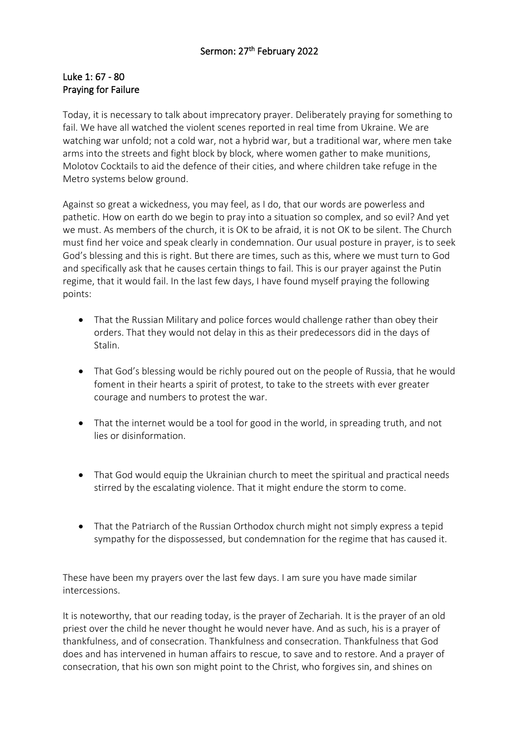## Luke 1: 67 - 80 Praying for Failure

Today, it is necessary to talk about imprecatory prayer. Deliberately praying for something to fail. We have all watched the violent scenes reported in real time from Ukraine. We are watching war unfold; not a cold war, not a hybrid war, but a traditional war, where men take arms into the streets and fight block by block, where women gather to make munitions, Molotov Cocktails to aid the defence of their cities, and where children take refuge in the Metro systems below ground.

Against so great a wickedness, you may feel, as I do, that our words are powerless and pathetic. How on earth do we begin to pray into a situation so complex, and so evil? And yet we must. As members of the church, it is OK to be afraid, it is not OK to be silent. The Church must find her voice and speak clearly in condemnation. Our usual posture in prayer, is to seek God's blessing and this is right. But there are times, such as this, where we must turn to God and specifically ask that he causes certain things to fail. This is our prayer against the Putin regime, that it would fail. In the last few days, I have found myself praying the following points:

- That the Russian Military and police forces would challenge rather than obey their orders. That they would not delay in this as their predecessors did in the days of Stalin.
- That God's blessing would be richly poured out on the people of Russia, that he would foment in their hearts a spirit of protest, to take to the streets with ever greater courage and numbers to protest the war.
- That the internet would be a tool for good in the world, in spreading truth, and not lies or disinformation.
- That God would equip the Ukrainian church to meet the spiritual and practical needs stirred by the escalating violence. That it might endure the storm to come.
- That the Patriarch of the Russian Orthodox church might not simply express a tepid sympathy for the dispossessed, but condemnation for the regime that has caused it.

These have been my prayers over the last few days. I am sure you have made similar intercessions.

It is noteworthy, that our reading today, is the prayer of Zechariah. It is the prayer of an old priest over the child he never thought he would never have. And as such, his is a prayer of thankfulness, and of consecration. Thankfulness and consecration. Thankfulness that God does and has intervened in human affairs to rescue, to save and to restore. And a prayer of consecration, that his own son might point to the Christ, who forgives sin, and shines on